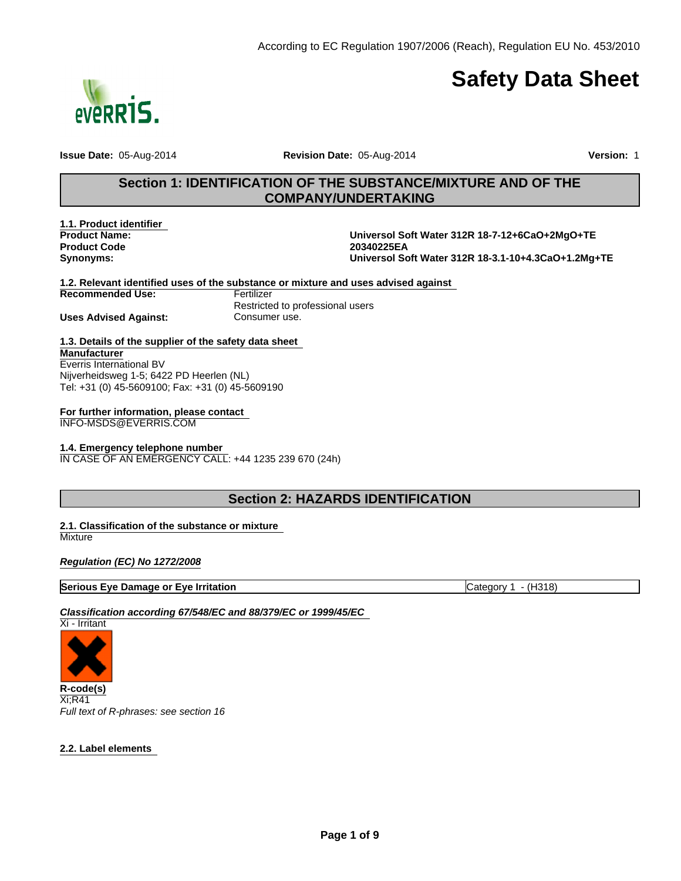

# **Safety Data Sheet**

**Issue Date:** 05-Aug-2014 **Revision Date:** 05-Aug-2014 **Version:** 1

# **Section 1: IDENTIFICATION OF THE SUBSTANCE/MIXTURE AND OF THE COMPANY/UNDERTAKING**

**Product Code Synonyms: 1.1. Product identifier** 

**20340225EA Universol Soft Water 312R 18-3.1-10+4.3CaO+1.2Mg+TE Product Name: Universol Soft Water 312R 18-7-12+6CaO+2MgO+TE**

**1.2. Relevant identified uses of the substance or mixture and uses advised against** 

**Recommended Use:**

**Uses Advised Against: Consumer use.** 

**Fertilizer** Restricted to professional users

#### **1.3. Details of the supplier of the safety data sheet Manufacturer** Everris International BV

Nijverheidsweg 1-5; 6422 PD Heerlen (NL) Tel: +31 (0) 45-5609100; Fax: +31 (0) 45-5609190

# **For further information, please contact**

INFO-MSDS@EVERRIS.COM

### **1.4. Emergency telephone number**

IN CASE OF AN EMERGENCY CALL: +44 1235 239 670 (24h)

# **Section 2: HAZARDS IDENTIFICATION**

#### **2.1. Classification of the substance or mixture Mixture**

*Regulation (EC) No 1272/2008*

### **Serious Eye Damage or Eye Irritation** Category 1 - (H318)

*Classification according 67/548/EC and 88/379/EC or 1999/45/EC* 



Xi;R41 *Full text of R-phrases: see section 16*

### **2.2. Label elements**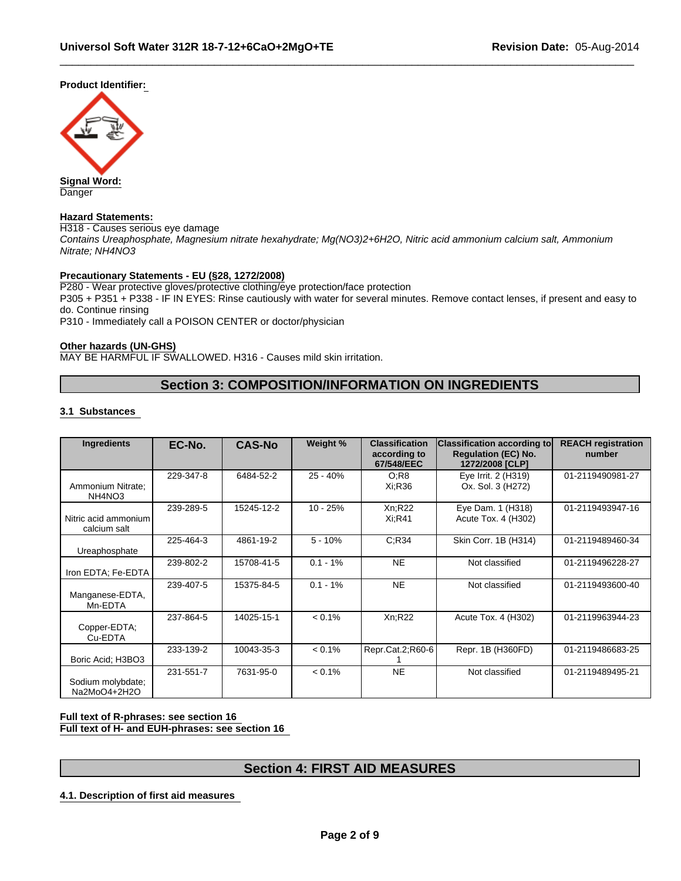**Product Identifier:** 



**Danger** 

#### **Hazard Statements:**

H318 - Causes serious eye damage *Contains Ureaphosphate, Magnesium nitrate hexahydrate; Mg(NO3)2+6H2O, Nitric acid ammonium calcium salt, Ammonium Nitrate; NH4NO3*

#### **Precautionary Statements - EU (§28, 1272/2008)**

P280 - Wear protective gloves/protective clothing/eye protection/face protection P305 + P351 + P338 - IF IN EYES: Rinse cautiously with water for several minutes. Remove contact lenses, if present and easy to do. Continue rinsing

P310 - Immediately call a POISON CENTER or doctor/physician

#### **Other hazards (UN-GHS)**

MAY BE HARMFUL IF SWALLOWED. H316 - Causes mild skin irritation.

# **Section 3: COMPOSITION/INFORMATION ON INGREDIENTS**

#### **3.1 Substances**

| Ingredients                          | EC-No.    | <b>CAS-No</b> | Weight %    | <b>Classification</b><br>according to<br>67/548/EEC | <b>Classification according to</b><br><b>Regulation (EC) No.</b><br>1272/2008 [CLP] | <b>REACH registration</b><br>number |
|--------------------------------------|-----------|---------------|-------------|-----------------------------------------------------|-------------------------------------------------------------------------------------|-------------------------------------|
| Ammonium Nitrate:<br>NH4NO3          | 229-347-8 | 6484-52-2     | $25 - 40%$  | O:R8<br>Xi:R36                                      | Eye Irrit. 2 (H319)<br>Ox. Sol. 3 (H272)                                            | 01-2119490981-27                    |
| Nitric acid ammonium<br>calcium salt | 239-289-5 | 15245-12-2    | $10 - 25%$  | $Xn$ :R22<br>Xi:R41                                 | Eye Dam. 1 (H318)<br>Acute Tox. 4 (H302)                                            | 01-2119493947-16                    |
| Ureaphosphate                        | 225-464-3 | 4861-19-2     | $5 - 10%$   | C:R34                                               | Skin Corr. 1B (H314)                                                                | 01-2119489460-34                    |
| Iron EDTA; Fe-EDTA                   | 239-802-2 | 15708-41-5    | $0.1 - 1\%$ | <b>NE</b>                                           | Not classified                                                                      | 01-2119496228-27                    |
| Manganese-EDTA,<br>Mn-EDTA           | 239-407-5 | 15375-84-5    | $0.1 - 1\%$ | <b>NE</b>                                           | Not classified                                                                      | 01-2119493600-40                    |
| Copper-EDTA;<br>Cu-EDTA              | 237-864-5 | 14025-15-1    | $< 0.1\%$   | Xn; R22                                             | Acute Tox. 4 (H302)                                                                 | 01-2119963944-23                    |
| Boric Acid: H3BO3                    | 233-139-2 | 10043-35-3    | $< 0.1\%$   | Repr.Cat.2;R60-6                                    | Repr. 1B (H360FD)                                                                   | 01-2119486683-25                    |
| Sodium molybdate;<br>Na2MoO4+2H2O    | 231-551-7 | 7631-95-0     | $< 0.1\%$   | <b>NE</b>                                           | Not classified                                                                      | 01-2119489495-21                    |

#### **Full text of R-phrases: see section 16 Full text of H- and EUH-phrases: see section 16**

# **Section 4: FIRST AID MEASURES**

**4.1. Description of first aid measures**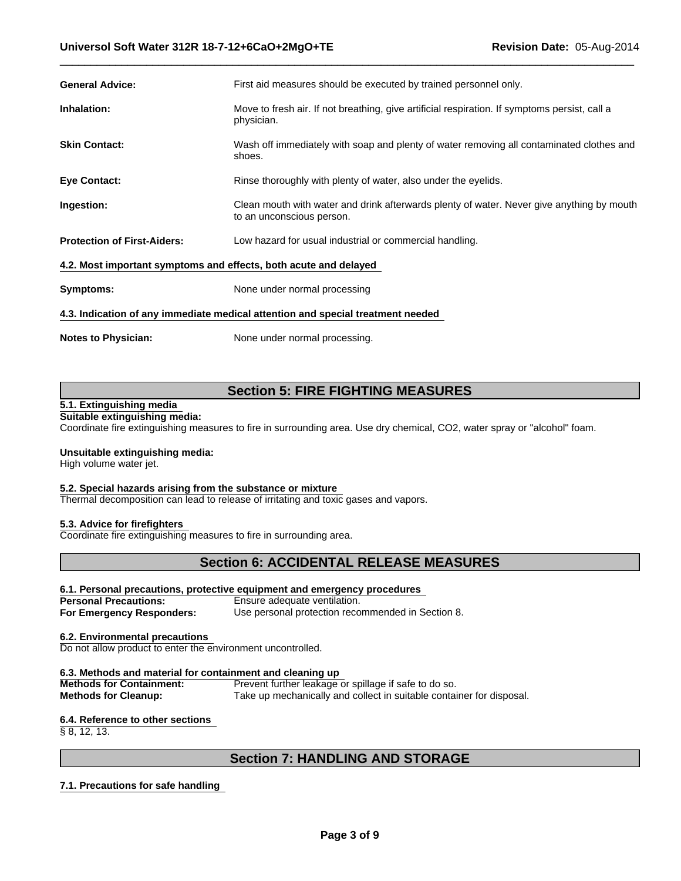| <b>General Advice:</b>                                                          | First aid measures should be executed by trained personnel only.                                                       |  |  |
|---------------------------------------------------------------------------------|------------------------------------------------------------------------------------------------------------------------|--|--|
| Inhalation:                                                                     | Move to fresh air. If not breathing, give artificial respiration. If symptoms persist, call a<br>physician.            |  |  |
| <b>Skin Contact:</b>                                                            | Wash off immediately with soap and plenty of water removing all contaminated clothes and<br>shoes.                     |  |  |
| <b>Eye Contact:</b>                                                             | Rinse thoroughly with plenty of water, also under the eyelids.                                                         |  |  |
| Ingestion:                                                                      | Clean mouth with water and drink afterwards plenty of water. Never give anything by mouth<br>to an unconscious person. |  |  |
| <b>Protection of First-Aiders:</b>                                              | Low hazard for usual industrial or commercial handling.                                                                |  |  |
| 4.2. Most important symptoms and effects, both acute and delayed                |                                                                                                                        |  |  |
| Symptoms:                                                                       | None under normal processing                                                                                           |  |  |
| 4.3. Indication of any immediate medical attention and special treatment needed |                                                                                                                        |  |  |

**Notes to Physician:**

None under normal processing.

# **Section 5: FIRE FIGHTING MEASURES**

#### **5.1. Extinguishing media Suitable extinguishing media:**

Coordinate fire extinguishing measures to fire in surrounding area. Use dry chemical, CO2, water spray or "alcohol" foam.

#### **Unsuitable extinguishing media:**

High volume water jet.

# **5.2. Special hazards arising from the substance or mixture**

Thermal decomposition can lead to release of irritating and toxic gases and vapors.

#### **5.3. Advice for firefighters**

Coordinate fire extinguishing measures to fire in surrounding area.

# **Section 6: ACCIDENTAL RELEASE MEASURES**

#### **6.1. Personal precautions, protective equipment and emergency procedures**

**Personal Precautions:** Ensure adequate ventilation. **For Emergency Responders:** Use personal protection recommended in Section 8.

#### **6.2. Environmental precautions**

Do not allow product to enter the environment uncontrolled.

#### **6.3. Methods and material for containment and cleaning up**

**Methods for Containment:** Prevent further leakage or spillage if safe to do so. **Methods for Cleanup:** Take up mechanically and collect in suitable container for disposal.

#### **6.4. Reference to other sections**

 $\overline{\S 8, 12, 13.}$ 

# **Section 7: HANDLING AND STORAGE**

#### **7.1. Precautions for safe handling**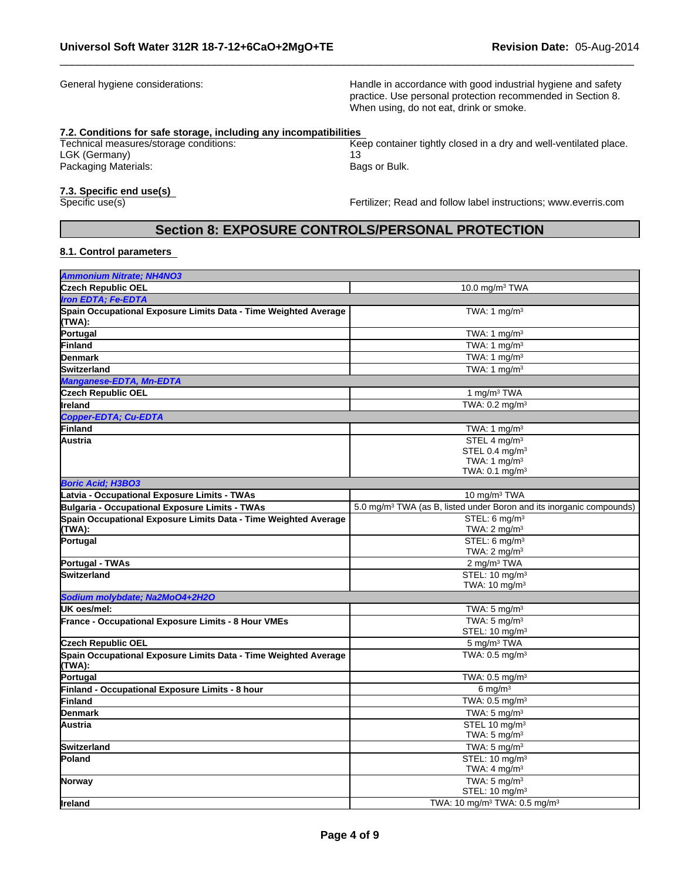General hygiene considerations:

Handle in accordance with good industrial hygiene and safety practice. Use personal protection recommended in Section 8. When using, do not eat, drink or smoke.

#### **7.2. Conditions for safe storage, including any incompatibilities**

Technical measures/storage conditions: LGK (Germany) Packaging Materials:

Bags or Bulk. Keep container tightly closed in a dry and well-ventilated place. 13

# **7.3. Specific end use(s)**

Fertilizer; Read and follow label instructions; www.everris.com

# **Section 8: EXPOSURE CONTROLS/PERSONAL PROTECTION**

#### **8.1. Control parameters**

| Ammonium Nitrate; NH4NO3                                                  |                                                                                  |
|---------------------------------------------------------------------------|----------------------------------------------------------------------------------|
| Czech Republic OEL                                                        | 10.0 mg/m $3$ TWA                                                                |
| Iron EDTA: Fe-EDTA                                                        |                                                                                  |
| Spain Occupational Exposure Limits Data - Time Weighted Average<br>TWA):  | TWA: 1 $mq/m3$                                                                   |
| Portugal                                                                  | TWA: 1 $mg/m3$                                                                   |
| Finland                                                                   | TWA: 1 mg/m $3$                                                                  |
| Denmark                                                                   | $\overline{\text{TWA}:1}$ mg/m <sup>3</sup>                                      |
| Switzerland                                                               | TWA: 1 $mg/m3$                                                                   |
| Manganese-EDTA, Mn-EDTA                                                   |                                                                                  |
| <b>Czech Republic OEL</b>                                                 | 1 mg/m <sup>3</sup> TWA                                                          |
| lireland                                                                  | TWA: $0.2 \text{ mg/m}^3$                                                        |
| Copper-EDTA; Cu-EDTA                                                      |                                                                                  |
| Finland                                                                   | TWA: 1 $mg/m3$                                                                   |
| Austria                                                                   | STEL 4 mg/m <sup>3</sup>                                                         |
|                                                                           | STEL 0.4 mg/m <sup>3</sup>                                                       |
|                                                                           | TWA: 1 $mq/m3$                                                                   |
|                                                                           | TWA: $0.1$ mg/m <sup>3</sup>                                                     |
| <b>Boric Acid: H3BO3</b>                                                  |                                                                                  |
| Latvia - Occupational Exposure Limits - TWAs                              | 10 mg/m <sup>3</sup> TWA                                                         |
| Bulgaria - Occupational Exposure Limits - TWAs                            | 5.0 mg/m <sup>3</sup> TWA (as B, listed under Boron and its inorganic compounds) |
| Spain Occupational Exposure Limits Data - Time Weighted Average           | STEL: 6 mg/m <sup>3</sup>                                                        |
| (TWA):                                                                    | TWA: $2 \text{ mg/m}^3$                                                          |
| Portugal                                                                  | STEL: 6 mg/m <sup>3</sup>                                                        |
|                                                                           | TWA: $2 \text{ mg/m}^3$                                                          |
| Portugal - TWAs                                                           | 2 mg/m <sup>3</sup> TWA                                                          |
| Switzerland                                                               | STEL: 10 mg/m <sup>3</sup><br>TWA: $10 \text{ mg/m}^3$                           |
| Sodium molybdate; Na2MoO4+2H2O                                            |                                                                                  |
| UK oes/mel:                                                               | TWA: $5 \text{ mg/m}^3$                                                          |
| France - Occupational Exposure Limits - 8 Hour VMEs                       | TWA: $5 \text{ mg/m}^3$                                                          |
|                                                                           | STEL: 10 mg/m <sup>3</sup>                                                       |
| <b>Czech Republic OEL</b>                                                 | 5 mg/m <sup>3</sup> TWA                                                          |
| Spain Occupational Exposure Limits Data - Time Weighted Average<br>(TWA): | TWA: $0.5$ mg/m <sup>3</sup>                                                     |
| Portugal                                                                  | TWA: $0.5$ mg/m <sup>3</sup>                                                     |
| Finland - Occupational Exposure Limits - 8 hour                           | 6 mg/m $3$                                                                       |
| Finland                                                                   | TWA: 0.5 mg/m <sup>3</sup>                                                       |
| Denmark                                                                   | TWA: $5 \text{ mg/m}^3$                                                          |
| lAustria                                                                  | STEL 10 mg/m <sup>3</sup>                                                        |
|                                                                           | TWA: $5 \text{ mg/m}^3$                                                          |
| Switzerland                                                               | TWA: $5 \text{ mg/m}^3$                                                          |
| Poland                                                                    | STEL: 10 mg/m <sup>3</sup>                                                       |
|                                                                           | TWA: $4 \text{ mg/m}^3$                                                          |
| Norway                                                                    | TWA: $5 \text{ mg/m}^3$                                                          |
|                                                                           | STEL: 10 mg/m <sup>3</sup>                                                       |
| <b>Ireland</b>                                                            | TWA: 10 mg/m <sup>3</sup> TWA: 0.5 mg/m <sup>3</sup>                             |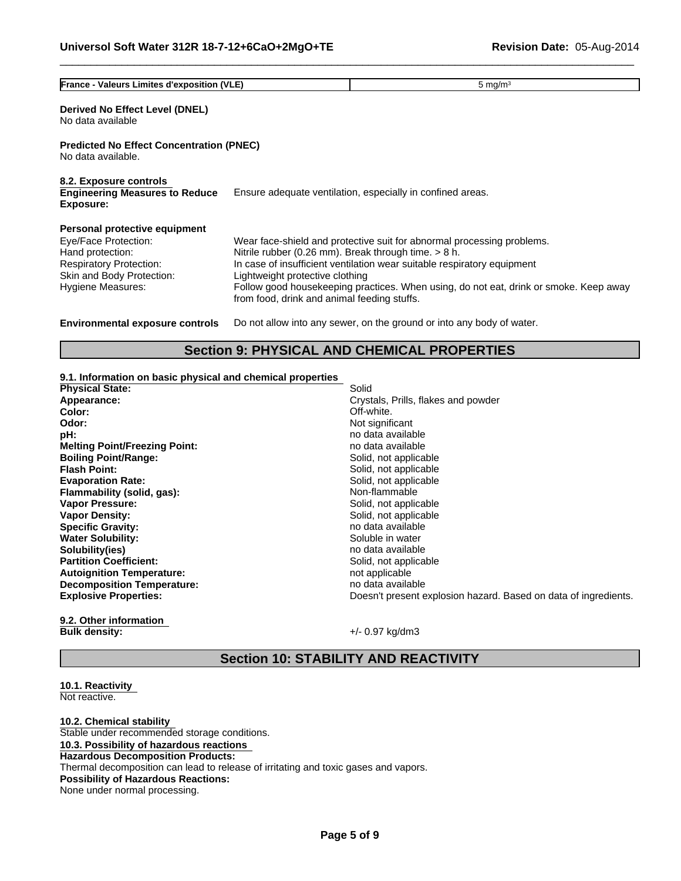| <b>France - Valeurs Limites d'exposition (VLE)</b>                                                                                                            | 5 mg/m $3$                                                                                                                               |                                                                                                                                                                                                                                            |
|---------------------------------------------------------------------------------------------------------------------------------------------------------------|------------------------------------------------------------------------------------------------------------------------------------------|--------------------------------------------------------------------------------------------------------------------------------------------------------------------------------------------------------------------------------------------|
| Derived No Effect Level (DNEL)<br>No data available                                                                                                           |                                                                                                                                          |                                                                                                                                                                                                                                            |
| <b>Predicted No Effect Concentration (PNEC)</b><br>No data available.                                                                                         |                                                                                                                                          |                                                                                                                                                                                                                                            |
| 8.2. Exposure controls<br><b>Engineering Measures to Reduce</b><br>Exposure:                                                                                  |                                                                                                                                          | Ensure adequate ventilation, especially in confined areas.                                                                                                                                                                                 |
| Personal protective equipment<br>Eye/Face Protection:<br>Hand protection:<br><b>Respiratory Protection:</b><br>Skin and Body Protection:<br>Hygiene Measures: | Nitrile rubber (0.26 mm). Break through time. $> 8$ h.<br>Lightweight protective clothing<br>from food, drink and animal feeding stuffs. | Wear face-shield and protective suit for abnormal processing problems.<br>In case of insufficient ventilation wear suitable respiratory equipment<br>Follow good housekeeping practices. When using, do not eat, drink or smoke. Keep away |
| <b>Environmental exposure controls</b>                                                                                                                        |                                                                                                                                          | Do not allow into any sewer, on the ground or into any body of water.                                                                                                                                                                      |

### **Section 9: PHYSICAL AND CHEMICAL PROPERTIES**

Solid

#### **9.1. Information on basic physical and chemical properties**

| <b>Physical State:</b>               |
|--------------------------------------|
| Appearance:                          |
| Color:                               |
| Odor:                                |
| pH:                                  |
| <b>Melting Point/Freezing Point:</b> |
| <b>Boiling Point/Range:</b>          |
| <b>Flash Point:</b>                  |
| <b>Evaporation Rate:</b>             |
| Flammability (solid, gas):           |
| <b>Vapor Pressure:</b>               |
| <b>Vapor Density:</b>                |
| <b>Specific Gravity:</b>             |
| <b>Water Solubility:</b>             |
| Solubility(ies)                      |
| <b>Partition Coefficient:</b>        |
| <b>Autoignition Temperature:</b>     |
| <b>Decomposition Temperature:</b>    |
| <b>Explosive Properties:</b>         |
|                                      |

Solid, not applicable **Specific Gravity:** no data available Soluble in water **Solubility(ies)** no data available Solid, not applicable **Autoignition Temperature:** not applicable **Decomposition Temperature:** no data available Doesn't present explosion hazard. Based on data of ingredients. Off-white. Not significant no data available **Melting Point/Freezing Point:** no data available Solid, not applicable Solid, not applicable Solid, not applicable **Non-flammable** Solid, not applicable

**Appearance:** Crystals, Prills, flakes and powder

#### **9.2. Other information Bulk density:**  $+/- 0.97$  kg/dm3

# **Section 10: STABILITY AND REACTIVITY**

#### **10.1. Reactivity**  Not reactive.

**10.2. Chemical stability**  Stable under recommended storage conditions. **10.3. Possibility of hazardous reactions Hazardous Decomposition Products:** Thermal decomposition can lead to release of irritating and toxic gases and vapors. **Possibility of Hazardous Reactions:** None under normal processing.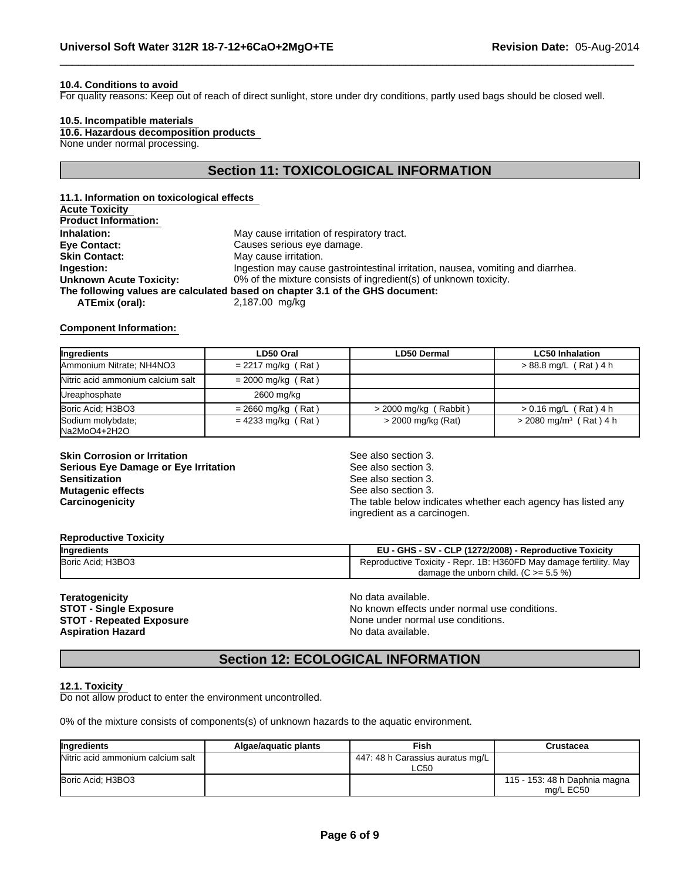#### **10.4. Conditions to avoid**

For quality reasons: Keep out of reach of direct sunlight, store under dry conditions, partly used bags should be closed well.

#### **10.5. Incompatible materials**

None under normal processing. **10.6. Hazardous decomposition products** 

# **Section 11: TOXICOLOGICAL INFORMATION**

| 11.1. Information on toxicological effects |                                                                                 |
|--------------------------------------------|---------------------------------------------------------------------------------|
| <b>Acute Toxicity</b>                      |                                                                                 |
| <b>Product Information:</b>                |                                                                                 |
| Inhalation:                                | May cause irritation of respiratory tract.                                      |
| Eye Contact:                               | Causes serious eye damage.                                                      |
| <b>Skin Contact:</b>                       | May cause irritation.                                                           |
| Ingestion:                                 | Ingestion may cause gastrointestinal irritation, nausea, vomiting and diarrhea. |
| <b>Unknown Acute Toxicity:</b>             | 0% of the mixture consists of ingredient(s) of unknown toxicity.                |
|                                            | The following values are calculated based on chapter 3.1 of the GHS document:   |
| ATEmix (oral):                             | 2,187.00 mg/kg                                                                  |
|                                            |                                                                                 |

#### **Component Information:**

| Ingredients                       | LD50 Oral            | <b>LD50 Dermal</b>      | <b>LC50 Inhalation</b>               |
|-----------------------------------|----------------------|-------------------------|--------------------------------------|
| Ammonium Nitrate; NH4NO3          | $= 2217$ mg/kg (Rat) |                         | > 88.8 mg/L (Rat) 4 h                |
| Nitric acid ammonium calcium salt | $= 2000$ mg/kg (Rat) |                         |                                      |
| Ureaphosphate                     | 2600 mg/kg           |                         |                                      |
| Boric Acid: H3BO3                 | $= 2660$ mg/kg (Rat) | $>$ 2000 mg/kg (Rabbit) | $> 0.16$ mg/L (Rat) 4 h              |
| Sodium molybdate;<br>Na2MoO4+2H2O | $= 4233$ mg/kg (Rat) | > 2000 mg/kg (Rat)      | $>$ 2080 mg/m <sup>3</sup> (Rat) 4 h |

**Skin Corrosion or Irritation**<br> **Serious Eve Damage or Eve Irritation**<br>
See also section 3. **Serious Eye Damage or Eye Irritation Sensitization** See also section 3. **Mutagenic effects**  $\qquad \qquad \qquad$  See also section 3.

**Carcinogenicity Carcinogenicity The table below indicates whether each agency has listed any** ingredient as a carcinogen.

#### **Reproductive Toxicity**

| Ingredients       | - GHS - SV - CLP (1272/2008) -<br><b>Reproductive Toxicity</b><br><b>CD</b>     |
|-------------------|---------------------------------------------------------------------------------|
| Boric Acid; H3BO3 | Mav<br>. 1B: H360FD May damage fertility.<br>Repr.<br>l oxicity<br>Reproductive |
|                   | $(C >= 5.5\%)$<br>damage the unborn child.                                      |

**Teratogenicity**<br> **STOT - Single Exposure**<br> **STOT - Single Exposure**<br> **No known effects Aspiration Hazard** 

**STOT - Single Exposure** No known effects under normal use conditions.<br> **STOT - Repeated Exposure** None under normal use conditions. None under normal use conditions.<br>No data available.

# **Section 12: ECOLOGICAL INFORMATION**

#### **12.1. Toxicity**

Do not allow product to enter the environment uncontrolled.

0% of the mixture consists of components(s) of unknown hazards to the aquatic environment.

| Ingredients                       | Algae/aguatic plants | Fish                                            | Crustacea                                  |
|-----------------------------------|----------------------|-------------------------------------------------|--------------------------------------------|
| Nitric acid ammonium calcium salt |                      | 447: 48 h Carassius auratus mg/L<br><b>LC50</b> |                                            |
| Boric Acid: H3BO3                 |                      |                                                 | 115 - 153: 48 h Daphnia magna<br>ma/L EC50 |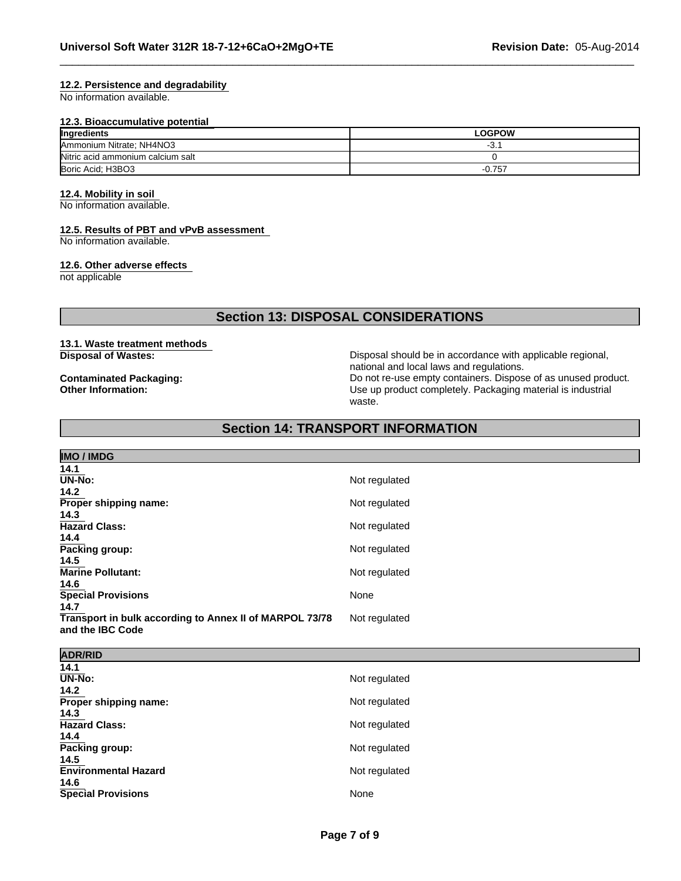#### **12.2. Persistence and degradability**

No information available.

#### **12.3. Bioaccumulative potential**

| Ingredients                       | <b>LOGPOW</b> |
|-----------------------------------|---------------|
| Ammonium Nitrate; NH4NO3          | ັບ.           |
| Nitric acid ammonium calcium salt |               |
| Boric Acid: H3BO3                 | $-0.757$      |

# **12.4. Mobility in soil**

No information available.

#### **12.5. Results of PBT and vPvB assessment**

No information available.

#### **12.6. Other adverse effects**

not applicable

# **Section 13: DISPOSAL CONSIDERATIONS**

#### **13.1. Waste treatment methods Disposal of Wastes:**

**Contaminated Packaging: Other Information:**

Disposal should be in accordance with applicable regional, national and local laws and regulations. Do not re-use empty containers. Dispose of as unused product. Use up product completely. Packaging material is industrial waste.

# **Section 14: TRANSPORT INFORMATION**

| <b>IMO / IMDG</b>                                       |               |
|---------------------------------------------------------|---------------|
| 14.1                                                    |               |
| $\overline{\mathsf{UN-No}}$ :                           | Not regulated |
| 14.2                                                    |               |
| Proper shipping name:                                   | Not regulated |
| 14.3                                                    |               |
| <b>Hazard Class:</b>                                    | Not regulated |
| 14.4                                                    |               |
| Packing group:                                          | Not regulated |
| 14.5                                                    |               |
| <b>Marine Pollutant:</b>                                | Not regulated |
| 14.6                                                    |               |
| <b>Special Provisions</b>                               | None          |
| 14.7                                                    |               |
| Transport in bulk according to Annex II of MARPOL 73/78 | Not regulated |
| and the IBC Code                                        |               |
|                                                         |               |

| <b>ADR/RID</b>                |               |
|-------------------------------|---------------|
| 14.1                          |               |
| $\overline{\mathsf{UN-N}}$ o: | Not regulated |
| 14.2                          |               |
| Proper shipping name:         | Not regulated |
| 14.3                          |               |
| <b>Hazard Class:</b>          | Not regulated |
| 14.4                          |               |
| Packing group:                | Not regulated |
| 14.5                          |               |
| <b>Environmental Hazard</b>   | Not regulated |
| 14.6                          |               |
| <b>Special Provisions</b>     | None          |
|                               |               |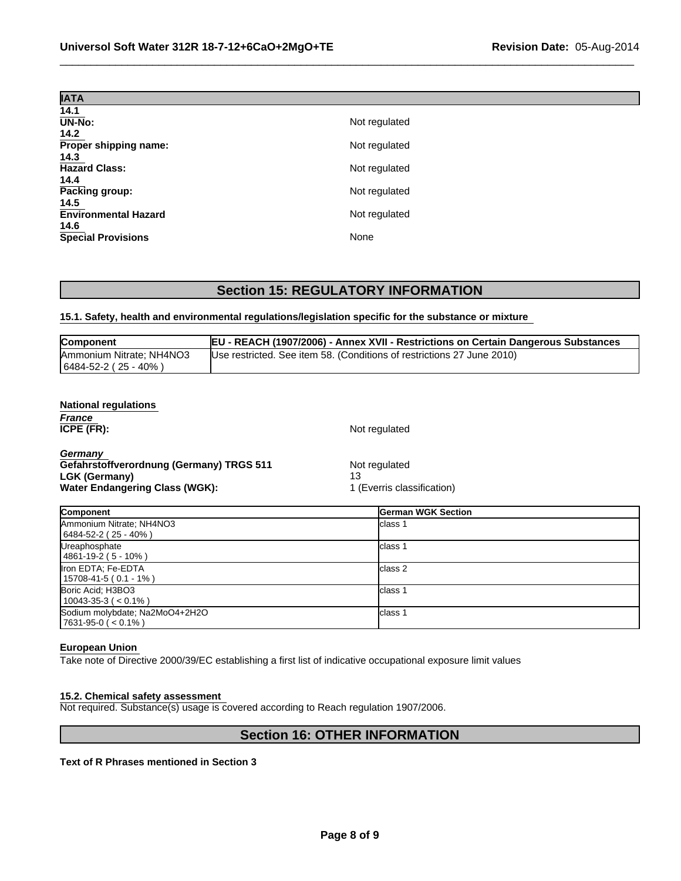| <b>IATA</b>                         |               |
|-------------------------------------|---------------|
| 14.1                                |               |
| <b>UN-No:</b>                       | Not regulated |
| 14.2                                |               |
| Proper shipping name:               | Not regulated |
| 14.3                                |               |
| <b>Hazard Class:</b>                | Not regulated |
| 14.4                                |               |
| Packing group:                      | Not regulated |
| 14.5<br><b>Environmental Hazard</b> |               |
| 14.6                                | Not regulated |
| <b>Special Provisions</b>           | None          |

# **Section 15: REGULATORY INFORMATION**

# **15.1. Safety, health and environmental regulations/legislation specific for the substance or mixture**

| <b>EU - REACH (1907/2006) - Annex XVII - Restrictions on Certain Dangerous Substances</b>                                       |
|---------------------------------------------------------------------------------------------------------------------------------|
| Ammonium Nitrate; NH4NO3<br>(Use restricted. See item 58. (Conditions of restrictions 27 June 2010)<br>  6484-52-2 ( 25 - 40% ) |

| <b>National regulations</b>              |                            |  |
|------------------------------------------|----------------------------|--|
| France                                   |                            |  |
| ICPE (FR):                               | Not regulated              |  |
| Germany                                  |                            |  |
| Gefahrstoffverordnung (Germany) TRGS 511 | Not regulated              |  |
| LGK (Germany)                            | 13                         |  |
| <b>Water Endangering Class (WGK):</b>    | 1 (Everris classification) |  |

| <b>Component</b>               | <b>German WGK Section</b> |
|--------------------------------|---------------------------|
| Ammonium Nitrate; NH4NO3       | lclass 1                  |
| $(6484 - 52 - 2 (25 - 40%)$    |                           |
| Ureaphosphate                  | lclass                    |
| $14861 - 19 - 2(5 - 10%)$      |                           |
| Iron EDTA; Fe-EDTA             | lclass 2                  |
| $15708 - 41 - 5 (0.1 - 1%)$    |                           |
| Boric Acid; H3BO3              | lclass <sup>.</sup>       |
| $10043-35-3$ ( < 0.1%)         |                           |
| Sodium molybdate; Na2MoO4+2H2O | lclass <sup>.</sup>       |
| $ 7631-95-0 (< 0.1\%)$         |                           |

#### **European Union**

Take note of Directive 2000/39/EC establishing a first list of indicative occupational exposure limit values

#### **15.2. Chemical safety assessment**

Not required. Substance(s) usage is covered according to Reach regulation 1907/2006.

# **Section 16: OTHER INFORMATION**

**Text of R Phrases mentioned in Section 3**